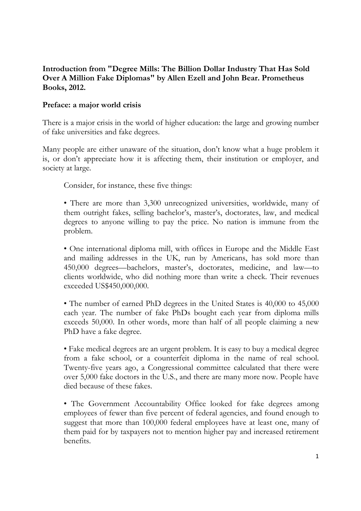## **Introduction from "Degree Mills: The Billion Dollar Industry That Has Sold Over A Million Fake Diplomas" by Allen Ezell and John Bear. Prometheus Books, 2012.**

## **Preface: a major world crisis**

There is a major crisis in the world of higher education: the large and growing number of fake universities and fake degrees.

Many people are either unaware of the situation, don't know what a huge problem it is, or don't appreciate how it is affecting them, their institution or employer, and society at large.

Consider, for instance, these five things:

• There are more than 3,300 unrecognized universities, worldwide, many of them outright fakes, selling bachelor's, master's, doctorates, law, and medical degrees to anyone willing to pay the price. No nation is immune from the problem.

• One international diploma mill, with offices in Europe and the Middle East and mailing addresses in the UK, run by Americans, has sold more than 450,000 degrees—bachelors, master's, doctorates, medicine, and law—to clients worldwide, who did nothing more than write a check. Their revenues exceeded US\$450,000,000.

• The number of earned PhD degrees in the United States is 40,000 to 45,000 each year. The number of fake PhDs bought each year from diploma mills exceeds 50,000. In other words, more than half of all people claiming a new PhD have a fake degree.

• Fake medical degrees are an urgent problem. It is easy to buy a medical degree from a fake school, or a counterfeit diploma in the name of real school. Twenty-five years ago, a Congressional committee calculated that there were over 5,000 fake doctors in the U.S., and there are many more now. People have died because of these fakes.

• The Government Accountability Office looked for fake degrees among employees of fewer than five percent of federal agencies, and found enough to suggest that more than 100,000 federal employees have at least one, many of them paid for by taxpayers not to mention higher pay and increased retirement benefits.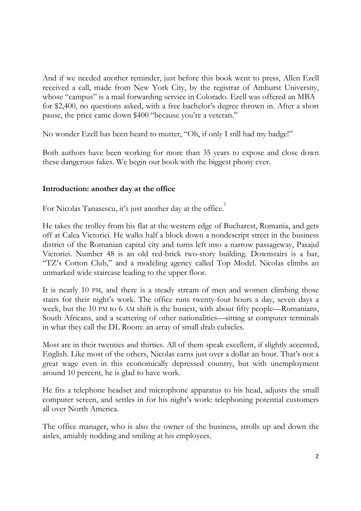And if we needed another reminder, just before this book went to press, Allen Ezell received a call, made from New York City, by the registrar of Amhurst University, whose "campus" is a mail forwarding service in Colorado. Ezell was offered an MBA for \$2,400, no questions asked, with a free bachelor's degree thrown in. After a short pause, the price came down \$400 "because you're a veteran."

No wonder Ezell has been heard to mutter, "Oh, if only I still had my badge!"

Both authors have been working for more than 35 years to expose and close down these dangerous fakes. We begin our book with the biggest phony ever.

## **Introduction: another day at the office**

For Nicolas Tanasescu, it's just another day at the office.<sup>1</sup>

He takes the trolley from his flat at the western edge of Bucharest, Romania, and gets off at Calea Victoriei. He walks half a block down a nondescript street in the business district of the Romanian capital city and turns left into a narrow passageway, Pasajul Victoriei. Number 48 is an old red-brick two-story building. Downstairs is a bar, "TZ's Cotton Club," and a modeling agency called Top Model. Nicolas climbs an unmarked wide staircase leading to the upper floor.

It is nearly 10 PM, and there is a steady stream of men and women climbing those stairs for their night's work. The office runs twenty-four hours a day, seven days a week, but the 10 PM to 6 AM shift is the busiest, with about fifty people—Romanians, South Africans, and a scattering of other nationalities—sitting at computer terminals in what they call the DL Room: an array of small drab cubicles.

Most are in their twenties and thirties. All of them speak excellent, if slightly accented, English. Like most of the others, Nicolas earns just over a dollar an hour. That's not a great wage even in this economically depressed country, but with unemployment around 10 percent, he is glad to have work.

He fits a telephone headset and microphone apparatus to his head, adjusts the small computer screen, and settles in for his night's work: telephoning potential customers all over North America.

The office manager, who is also the owner of the business, strolls up and down the aisles, amiably nodding and smiling at his employees.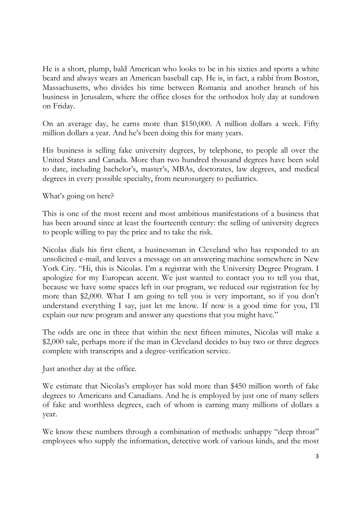He is a short, plump, bald American who looks to be in his sixties and sports a white beard and always wears an American baseball cap. He is, in fact, a rabbi from Boston, Massachusetts, who divides his time between Romania and another branch of his business in Jerusalem, where the office closes for the orthodox holy day at sundown on Friday.

On an average day, he earns more than \$150,000. A million dollars a week. Fifty million dollars a year. And he's been doing this for many years.

His business is selling fake university degrees, by telephone, to people all over the United States and Canada. More than two hundred thousand degrees have been sold to date, including bachelor's, master's, MBAs, doctorates, law degrees, and medical degrees in every possible specialty, from neurosurgery to pediatrics.

What's going on here?

This is one of the most recent and most ambitious manifestations of a business that has been around since at least the fourteenth century: the selling of university degrees to people willing to pay the price and to take the risk.

Nicolas dials his first client, a businessman in Cleveland who has responded to an unsolicited e-mail, and leaves a message on an answering machine somewhere in New York City. "Hi, this is Nicolas. I'm a registrar with the University Degree Program. I apologize for my European accent. We just wanted to contact you to tell you that, because we have some spaces left in our program, we reduced our registration fee by more than \$2,000. What I am going to tell you is very important, so if you don't understand everything I say, just let me know. If now is a good time for you, I'll explain our new program and answer any questions that you might have."

The odds are one in three that within the next fifteen minutes, Nicolas will make a \$2,000 sale, perhaps more if the man in Cleveland decides to buy two or three degrees complete with transcripts and a degree-verification service.

Just another day at the office.

We estimate that Nicolas's employer has sold more than \$450 million worth of fake degrees to Americans and Canadians. And he is employed by just one of many sellers of fake and worthless degrees, each of whom is earning many millions of dollars a year.

We know these numbers through a combination of methods: unhappy "deep throat" employees who supply the information, detective work of various kinds, and the most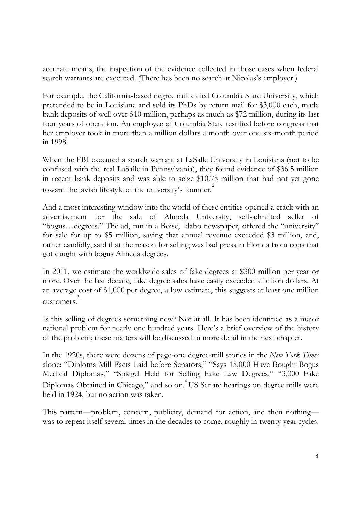accurate means, the inspection of the evidence collected in those cases when federal search warrants are executed. (There has been no search at Nicolas's employer.)

For example, the California-based degree mill called Columbia State University, which pretended to be in Louisiana and sold its PhDs by return mail for \$3,000 each, made bank deposits of well over \$10 million, perhaps as much as \$72 million, during its last four years of operation. An employee of Columbia State testified before congress that her employer took in more than a million dollars a month over one six-month period in 1998.

When the FBI executed a search warrant at LaSalle University in Louisiana (not to be confused with the real LaSalle in Pennsylvania), they found evidence of \$36.5 million in recent bank deposits and was able to seize \$10.75 million that had not yet gone toward the lavish lifestyle of the university's founder.<sup>2</sup>

And a most interesting window into the world of these entities opened a crack with an advertisement for the sale of Almeda University, self-admitted seller of "bogus…degrees." The ad, run in a Boise, Idaho newspaper, offered the "university" for sale for up to \$5 million, saying that annual revenue exceeded \$3 million, and, rather candidly, said that the reason for selling was bad press in Florida from cops that got caught with bogus Almeda degrees.

In 2011, we estimate the worldwide sales of fake degrees at \$300 million per year or more. Over the last decade, fake degree sales have easily exceeded a billion dollars. At an average cost of \$1,000 per degree, a low estimate, this suggests at least one million customers. 3

Is this selling of degrees something new? Not at all. It has been identified as a major national problem for nearly one hundred years. Here's a brief overview of the history of the problem; these matters will be discussed in more detail in the next chapter.

In the 1920s, there were dozens of page-one degree-mill stories in the *New York Times*  alone: "Diploma Mill Facts Laid before Senators," "Says 15,000 Have Bought Bogus Medical Diplomas," "Spiegel Held for Selling Fake Law Degrees," "3,000 Fake Diplomas Obtained in Chicago," and so on.<sup>4</sup> US Senate hearings on degree mills were held in 1924, but no action was taken.

This pattern—problem, concern, publicity, demand for action, and then nothing was to repeat itself several times in the decades to come, roughly in twenty-year cycles.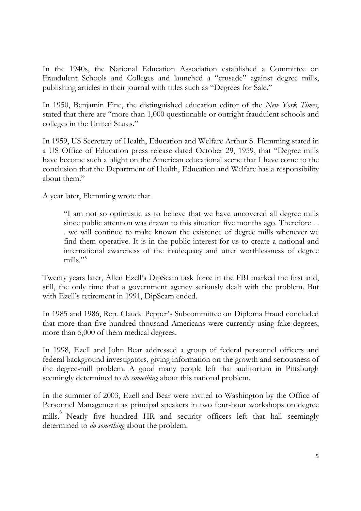In the 1940s, the National Education Association established a Committee on Fraudulent Schools and Colleges and launched a "crusade" against degree mills, publishing articles in their journal with titles such as "Degrees for Sale."

In 1950, Benjamin Fine, the distinguished education editor of the *New York Times*, stated that there are "more than 1,000 questionable or outright fraudulent schools and colleges in the United States."

In 1959, US Secretary of Health, Education and Welfare Arthur S. Flemming stated in a US Office of Education press release dated October 29, 1959, that "Degree mills have become such a blight on the American educational scene that I have come to the conclusion that the Department of Health, Education and Welfare has a responsibility about them."

A year later, Flemming wrote that

"I am not so optimistic as to believe that we have uncovered all degree mills since public attention was drawn to this situation five months ago. Therefore . . . we will continue to make known the existence of degree mills whenever we find them operative. It is in the public interest for us to create a national and international awareness of the inadequacy and utter worthlessness of degree mills."<sup>5</sup>

Twenty years later, Allen Ezell's DipScam task force in the FBI marked the first and, still, the only time that a government agency seriously dealt with the problem. But with Ezell's retirement in 1991, DipScam ended.

In 1985 and 1986, Rep. Claude Pepper's Subcommittee on Diploma Fraud concluded that more than five hundred thousand Americans were currently using fake degrees, more than 5,000 of them medical degrees.

In 1998, Ezell and John Bear addressed a group of federal personnel officers and federal background investigators, giving information on the growth and seriousness of the degree-mill problem. A good many people left that auditorium in Pittsburgh seemingly determined to *do something* about this national problem.

In the summer of 2003, Ezell and Bear were invited to Washington by the Office of Personnel Management as principal speakers in two four-hour workshops on degree mills.<sup>6</sup> Nearly five hundred HR and security officers left that hall seemingly determined to *do something* about the problem.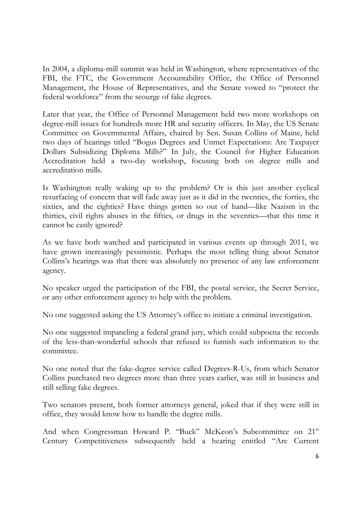In 2004, a diploma-mill summit was held in Washington, where representatives of the FBI, the FTC, the Government Accountability Office, the Office of Personnel Management, the House of Representatives, and the Senate vowed to "protect the federal workforce" from the scourge of fake degrees.

Later that year, the Office of Personnel Management held two more workshops on degree-mill issues for hundreds more HR and security officers. In May, the US Senate Committee on Governmental Affairs, chaired by Sen. Susan Collins of Maine, held two days of hearings titled "Bogus Degrees and Unmet Expectations: Are Taxpayer Dollars Subsidizing Diploma Mills?" In July, the Council for Higher Education Accreditation held a two-day workshop, focusing both on degree mills and accreditation mills.

Is Washington really waking up to the problem? Or is this just another cyclical resurfacing of concern that will fade away just as it did in the twenties, the forties, the sixties, and the eighties? Have things gotten so out of hand—like Nazism in the thirties, civil rights abuses in the fifties, or drugs in the seventies—that this time it cannot be easily ignored?

As we have both watched and participated in various events up through 2011, we have grown increasingly pessimistic. Perhaps the most telling thing about Senator Collins's hearings was that there was absolutely no presence of any law enforcement agency.

No speaker urged the participation of the FBI, the postal service, the Secret Service, or any other enforcement agency to help with the problem.

No one suggested asking the US Attorney's office to initiate a criminal investigation.

No one suggested impaneling a federal grand jury, which could subpoena the records of the less-than-wonderful schools that refused to furnish such information to the committee.

No one noted that the fake-degree service called Degrees-R-Us, from which Senator Collins purchased two degrees more than three years earlier, was still in business and still selling fake degrees.

Two senators present, both former attorneys general, joked that if they were still in office, they would know how to handle the degree mills.

And when Congressman Howard P. "Buck" McKeon's Subcommittee on 21st Century Competitiveness subsequently held a hearing entitled "Are Current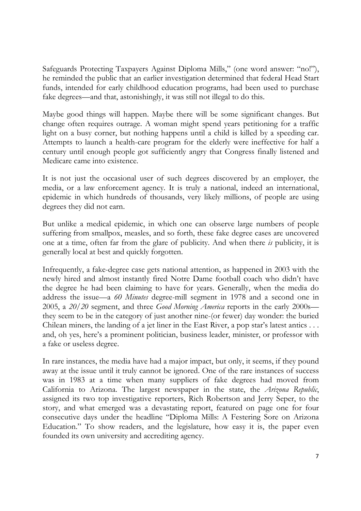Safeguards Protecting Taxpayers Against Diploma Mills," (one word answer: "no!"), he reminded the public that an earlier investigation determined that federal Head Start funds, intended for early childhood education programs, had been used to purchase fake degrees—and that, astonishingly, it was still not illegal to do this.

Maybe good things will happen. Maybe there will be some significant changes. But change often requires outrage. A woman might spend years petitioning for a traffic light on a busy corner, but nothing happens until a child is killed by a speeding car. Attempts to launch a health-care program for the elderly were ineffective for half a century until enough people got sufficiently angry that Congress finally listened and Medicare came into existence.

It is not just the occasional user of such degrees discovered by an employer, the media, or a law enforcement agency. It is truly a national, indeed an international, epidemic in which hundreds of thousands, very likely millions, of people are using degrees they did not earn.

But unlike a medical epidemic, in which one can observe large numbers of people suffering from smallpox, measles, and so forth, these fake degree cases are uncovered one at a time, often far from the glare of publicity. And when there *is* publicity, it is generally local at best and quickly forgotten.

Infrequently, a fake-degree case gets national attention, as happened in 2003 with the newly hired and almost instantly fired Notre Dame football coach who didn't have the degree he had been claiming to have for years. Generally, when the media do address the issue—a *60 Minutes* degree-mill segment in 1978 and a second one in 2005, a *20/20* segment, and three *Good Morning America* reports in the early 2000s they seem to be in the category of just another nine-(or fewer) day wonder: the buried Chilean miners, the landing of a jet liner in the East River, a pop star's latest antics . . . and, oh yes, here's a prominent politician, business leader, minister, or professor with a fake or useless degree.

In rare instances, the media have had a major impact, but only, it seems, if they pound away at the issue until it truly cannot be ignored. One of the rare instances of success was in 1983 at a time when many suppliers of fake degrees had moved from California to Arizona. The largest newspaper in the state, the *Arizona Republic*, assigned its two top investigative reporters, Rich Robertson and Jerry Seper, to the story, and what emerged was a devastating report, featured on page one for four consecutive days under the headline "Diploma Mills: A Festering Sore on Arizona Education." To show readers, and the legislature, how easy it is, the paper even founded its own university and accrediting agency.